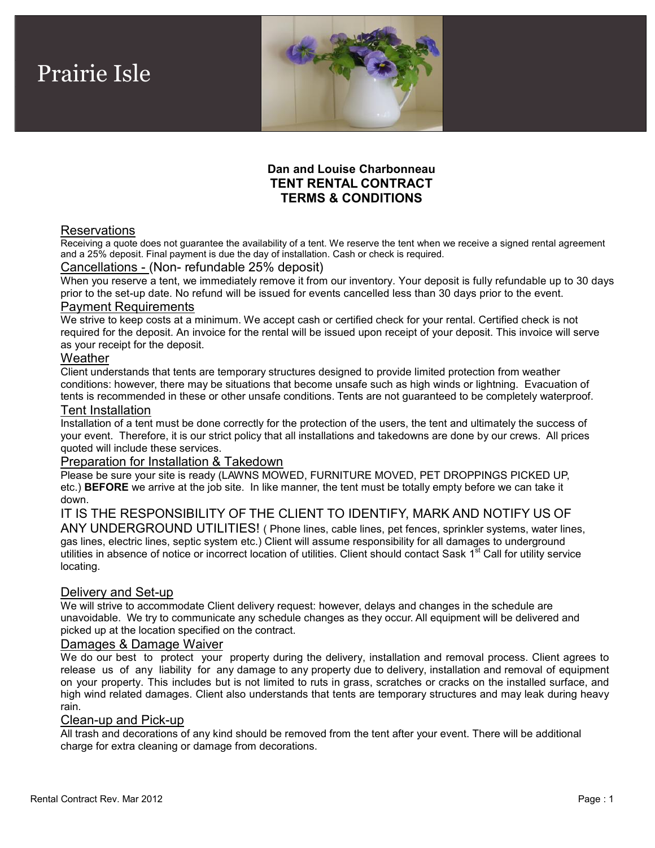

# **Dan and Louise Charbonneau TENT RENTAL CONTRACT TERMS & CONDITIONS**

## **Reservations**

Prairie Isle

Receiving a quote does not guarantee the availability of a tent. We reserve the tent when we receive a signed rental agreement and a 25% deposit. Final payment is due the day of installation. Cash or check is required.

#### Cancellations - (Non- refundable 25% deposit)

When you reserve a tent, we immediately remove it from our inventory. Your deposit is fully refundable up to 30 days prior to the set-up date. No refund will be issued for events cancelled less than 30 days prior to the event.

### Payment Requirements

We strive to keep costs at a minimum. We accept cash or certified check for your rental. Certified check is not required for the deposit. An invoice for the rental will be issued upon receipt of your deposit. This invoice will serve as your receipt for the deposit.

#### **Weather**

Client understands that tents are temporary structures designed to provide limited protection from weather conditions: however, there may be situations that become unsafe such as high winds or lightning. Evacuation of tents is recommended in these or other unsafe conditions. Tents are not guaranteed to be completely waterproof.

#### Tent Installation

Installation of a tent must be done correctly for the protection of the users, the tent and ultimately the success of your event. Therefore, it is our strict policy that all installations and takedowns are done by our crews. All prices quoted will include these services.

### Preparation for Installation & Takedown

Please be sure your site is ready (LAWNS MOWED, FURNITURE MOVED, PET DROPPINGS PICKED UP, etc.) **BEFORE** we arrive at the job site. In like manner, the tent must be totally empty before we can take it down.

IT IS THE RESPONSIBILITY OF THE CLIENT TO IDENTIFY, MARK AND NOTIFY US OF ANY UNDERGROUND UTILITIES! ( Phone lines, cable lines, pet fences, sprinkler systems, water lines, gas lines, electric lines, septic system etc.) Client will assume responsibility for all damages to underground utilities in absence of notice or incorrect location of utilities. Client should contact Sask 1<sup>st</sup> Call for utility service locating.

#### Delivery and Set-up

We will strive to accommodate Client delivery request: however, delays and changes in the schedule are unavoidable. We try to communicate any schedule changes as they occur. All equipment will be delivered and picked up at the location specified on the contract.

#### Damages & Damage Waiver

We do our best to protect your property during the delivery, installation and removal process. Client agrees to release us of any liability for any damage to any property due to delivery, installation and removal of equipment on your property. This includes but is not limited to ruts in grass, scratches orcracks on the installed surface, and high wind related damages. Client also understands that tents are temporary structures and may leak during heavy rain.

#### Clean-up and Pick-up

All trash and decorations of any kind should be removed from the tent after your event. There will be additional charge for extra cleaning or damage from decorations.